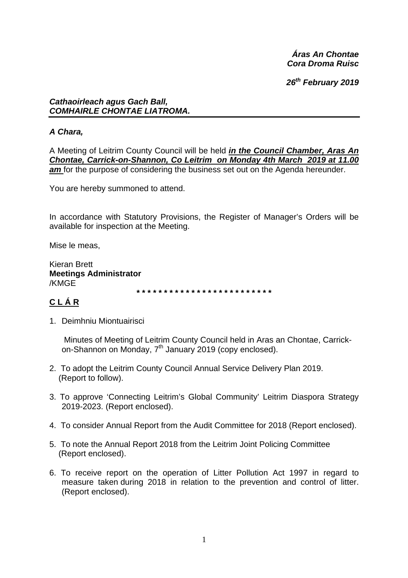Áras An Chontae Cora Droma Ruisc

26th February 2019

## **Cathaoirleach agus Gach Ball,** COMHAIRLE CHONTAE LIATROMA.

# A Chara,

A Meeting of Leitrim County Council will be held in the Council Chamber, Aras An Chontae, Carrick-on-Shannon, Co Leitrim on Monday 4th March 2019 at 11.00 am for the purpose of considering the business set out on the Agenda hereunder.

You are hereby summoned to attend.

In accordance with Statutory Provisions, the Register of Manager's Orders will be available for inspection at the Meeting.

Mise le meas.

**Kieran Brett Meetings Administrator** /KMGE

# CLÁR

1. Deimhniu Miontuairisci

Minutes of Meeting of Leitrim County Council held in Aras an Chontae, Carrickon-Shannon on Monday, 7<sup>th</sup> January 2019 (copy enclosed).

- 2. To adopt the Leitrim County Council Annual Service Delivery Plan 2019. (Report to follow).
- 3. To approve 'Connecting Leitrim's Global Community' Leitrim Diaspora Strategy 2019-2023. (Report enclosed).
- 4. To consider Annual Report from the Audit Committee for 2018 (Report enclosed).
- 5. To note the Annual Report 2018 from the Leitrim Joint Policing Committee (Report enclosed).
- 6. To receive report on the operation of Litter Pollution Act 1997 in regard to measure taken during 2018 in relation to the prevention and control of litter. (Report enclosed).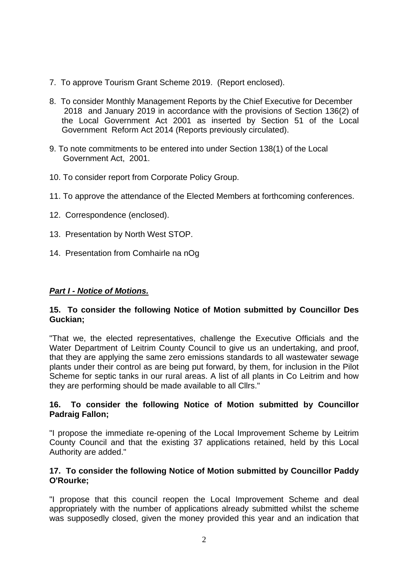- 7. To approve Tourism Grant Scheme 2019. (Report enclosed).
- 8. To consider Monthly Management Reports by the Chief Executive for December 2018 and January 2019 in accordance with the provisions of Section 136(2) of the Local Government Act 2001 as inserted by Section 51 of the Local Government Reform Act 2014 (Reports previously circulated).
- 9. To note commitments to be entered into under Section 138(1) of the Local Government Act, 2001.
- 10. To consider report from Corporate Policy Group.
- 11. To approve the attendance of the Elected Members at forthcoming conferences.
- 12. Correspondence (enclosed).
- 13. Presentation by North West STOP.
- 14. Presentation from Comhairle na nOg

# *Part I - Notice of Motions.*

## **15. To consider the following Notice of Motion submitted by Councillor Des Guckian;**

"That we, the elected representatives, challenge the Executive Officials and the Water Department of Leitrim County Council to give us an undertaking, and proof, that they are applying the same zero emissions standards to all wastewater sewage plants under their control as are being put forward, by them, for inclusion in the Pilot Scheme for septic tanks in our rural areas. A list of all plants in Co Leitrim and how they are performing should be made available to all Cllrs."

## **16. To consider the following Notice of Motion submitted by Councillor Padraig Fallon;**

"I propose the immediate re-opening of the Local Improvement Scheme by Leitrim County Council and that the existing 37 applications retained, held by this Local Authority are added."

#### **17. To consider the following Notice of Motion submitted by Councillor Paddy O'Rourke;**

"I propose that this council reopen the Local Improvement Scheme and deal appropriately with the number of applications already submitted whilst the scheme was supposedly closed, given the money provided this year and an indication that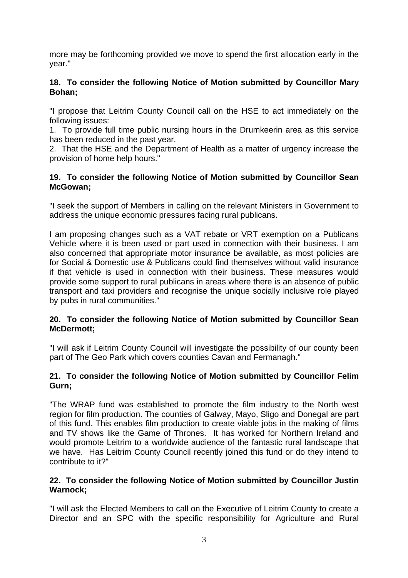more may be forthcoming provided we move to spend the first allocation early in the year."

## **18. To consider the following Notice of Motion submitted by Councillor Mary Bohan;**

"I propose that Leitrim County Council call on the HSE to act immediately on the following issues:

1. To provide full time public nursing hours in the Drumkeerin area as this service has been reduced in the past year.

2. That the HSE and the Department of Health as a matter of urgency increase the provision of home help hours."

## **19. To consider the following Notice of Motion submitted by Councillor Sean McGowan;**

"I seek the support of Members in calling on the relevant Ministers in Government to address the unique economic pressures facing rural publicans.

I am proposing changes such as a VAT rebate or VRT exemption on a Publicans Vehicle where it is been used or part used in connection with their business. I am also concerned that appropriate motor insurance be available, as most policies are for Social & Domestic use & Publicans could find themselves without valid insurance if that vehicle is used in connection with their business. These measures would provide some support to rural publicans in areas where there is an absence of public transport and taxi providers and recognise the unique socially inclusive role played by pubs in rural communities."

## **20. To consider the following Notice of Motion submitted by Councillor Sean McDermott;**

"I will ask if Leitrim County Council will investigate the possibility of our county been part of The Geo Park which covers counties Cavan and Fermanagh."

## **21. To consider the following Notice of Motion submitted by Councillor Felim Gurn;**

"The WRAP fund was established to promote the film industry to the North west region for film production. The counties of Galway, Mayo, Sligo and Donegal are part of this fund. This enables film production to create viable jobs in the making of films and TV shows like the Game of Thrones. It has worked for Northern Ireland and would promote Leitrim to a worldwide audience of the fantastic rural landscape that we have. Has Leitrim County Council recently joined this fund or do they intend to contribute to it?"

#### **22. To consider the following Notice of Motion submitted by Councillor Justin Warnock;**

"I will ask the Elected Members to call on the Executive of Leitrim County to create a Director and an SPC with the specific responsibility for Agriculture and Rural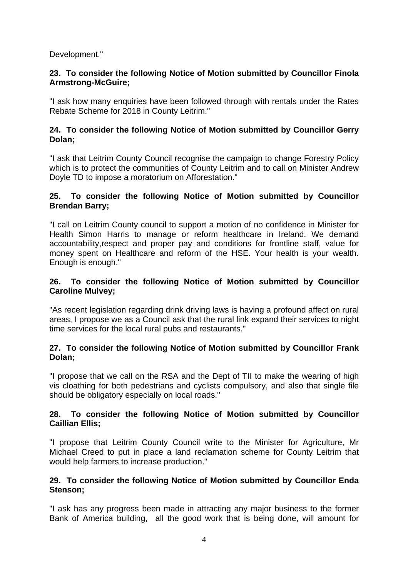Development."

#### **23. To consider the following Notice of Motion submitted by Councillor Finola Armstrong-McGuire;**

"I ask how many enquiries have been followed through with rentals under the Rates Rebate Scheme for 2018 in County Leitrim."

## **24. To consider the following Notice of Motion submitted by Councillor Gerry Dolan;**

"I ask that Leitrim County Council recognise the campaign to change Forestry Policy which is to protect the communities of County Leitrim and to call on Minister Andrew Doyle TD to impose a moratorium on Afforestation."

#### **25. To consider the following Notice of Motion submitted by Councillor Brendan Barry;**

"I call on Leitrim County council to support a motion of no confidence in Minister for Health Simon Harris to manage or reform healthcare in Ireland. We demand accountability,respect and proper pay and conditions for frontline staff, value for money spent on Healthcare and reform of the HSE. Your health is your wealth. Enough is enough."

#### **26. To consider the following Notice of Motion submitted by Councillor Caroline Mulvey;**

"As recent legislation regarding drink driving laws is having a profound affect on rural areas, I propose we as a Council ask that the rural link expand their services to night time services for the local rural pubs and restaurants."

## **27. To consider the following Notice of Motion submitted by Councillor Frank Dolan;**

"I propose that we call on the RSA and the Dept of TII to make the wearing of high vis cloathing for both pedestrians and cyclists compulsory, and also that single file should be obligatory especially on local roads."

## **28. To consider the following Notice of Motion submitted by Councillor Caillian Ellis;**

"I propose that Leitrim County Council write to the Minister for Agriculture, Mr Michael Creed to put in place a land reclamation scheme for County Leitrim that would help farmers to increase production."

#### **29. To consider the following Notice of Motion submitted by Councillor Enda Stenson;**

"I ask has any progress been made in attracting any major business to the former Bank of America building, all the good work that is being done, will amount for